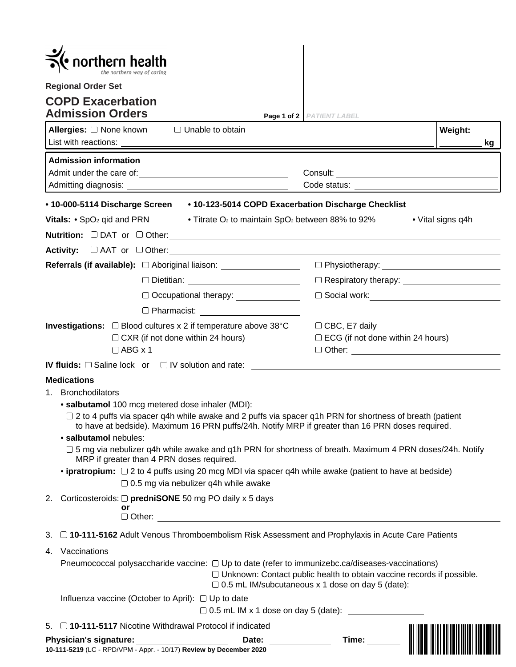|                                                                                                                                                                          | $\bullet$ northern health                                                                                                                                                                                                                                                                                                                                                                                                                                                                                                                                                                                                                                      |                                                                          |                                          |  |
|--------------------------------------------------------------------------------------------------------------------------------------------------------------------------|----------------------------------------------------------------------------------------------------------------------------------------------------------------------------------------------------------------------------------------------------------------------------------------------------------------------------------------------------------------------------------------------------------------------------------------------------------------------------------------------------------------------------------------------------------------------------------------------------------------------------------------------------------------|--------------------------------------------------------------------------|------------------------------------------|--|
|                                                                                                                                                                          | <b>Regional Order Set</b><br><b>COPD Exacerbation</b><br><b>Admission Orders</b>                                                                                                                                                                                                                                                                                                                                                                                                                                                                                                                                                                               | Page 1 of 2 PATIENT LABEL                                                |                                          |  |
|                                                                                                                                                                          | Allergies: □ None known<br>$\Box$ Unable to obtain<br>List with reactions:                                                                                                                                                                                                                                                                                                                                                                                                                                                                                                                                                                                     |                                                                          | Weight:<br>kg                            |  |
|                                                                                                                                                                          | <b>Admission information</b>                                                                                                                                                                                                                                                                                                                                                                                                                                                                                                                                                                                                                                   |                                                                          |                                          |  |
|                                                                                                                                                                          |                                                                                                                                                                                                                                                                                                                                                                                                                                                                                                                                                                                                                                                                |                                                                          |                                          |  |
|                                                                                                                                                                          | • 10-000-5114 Discharge Screen • 10-123-5014 COPD Exacerbation Discharge Checklist<br>Vitals: $\cdot$ SpO <sub>2</sub> qid and PRN                                                                                                                                                                                                                                                                                                                                                                                                                                                                                                                             | • Titrate O <sub>2</sub> to maintain SpO <sub>2</sub> between 88% to 92% | • Vital signs q4h                        |  |
|                                                                                                                                                                          |                                                                                                                                                                                                                                                                                                                                                                                                                                                                                                                                                                                                                                                                |                                                                          |                                          |  |
|                                                                                                                                                                          | Referrals (if available): $\Box$ Aboriginal liaison: _____________________________                                                                                                                                                                                                                                                                                                                                                                                                                                                                                                                                                                             |                                                                          |                                          |  |
|                                                                                                                                                                          |                                                                                                                                                                                                                                                                                                                                                                                                                                                                                                                                                                                                                                                                |                                                                          |                                          |  |
|                                                                                                                                                                          | Occupational therapy: ______________                                                                                                                                                                                                                                                                                                                                                                                                                                                                                                                                                                                                                           |                                                                          |                                          |  |
| □ Pharmacist: <u>________</u> __________<br>Investigations: □ Blood cultures x 2 if temperature above 38°C<br>$\Box$ CXR (if not done within 24 hours)<br>$\Box$ ABG x 1 |                                                                                                                                                                                                                                                                                                                                                                                                                                                                                                                                                                                                                                                                | $\Box$ CBC, E7 daily                                                     | $\Box$ ECG (if not done within 24 hours) |  |
|                                                                                                                                                                          | IV fluids: □ Saline lock or □ IV solution and rate: ____________________________                                                                                                                                                                                                                                                                                                                                                                                                                                                                                                                                                                               |                                                                          |                                          |  |
|                                                                                                                                                                          | <b>Medications</b><br>1. Bronchodilators<br>• salbutamol 100 mcg metered dose inhaler (MDI):<br>□ 2 to 4 puffs via spacer q4h while awake and 2 puffs via spacer q1h PRN for shortness of breath (patient<br>to have at bedside). Maximum 16 PRN puffs/24h. Notify MRP if greater than 16 PRN doses required.<br>· salbutamol nebules:<br>□ 5 mg via nebulizer q4h while awake and q1h PRN for shortness of breath. Maximum 4 PRN doses/24h. Notify<br>MRP if greater than 4 PRN doses required.<br>• ipratropium: $\Box$ 2 to 4 puffs using 20 mcg MDI via spacer q4h while awake (patient to have at bedside)<br>$\Box$ 0.5 mg via nebulizer q4h while awake |                                                                          |                                          |  |
|                                                                                                                                                                          | 2. Corticosteroids: $\Box$ predniSONE 50 mg PO daily x 5 days<br>or                                                                                                                                                                                                                                                                                                                                                                                                                                                                                                                                                                                            |                                                                          |                                          |  |
| 3.                                                                                                                                                                       | □ 10-111-5162 Adult Venous Thromboembolism Risk Assessment and Prophylaxis in Acute Care Patients                                                                                                                                                                                                                                                                                                                                                                                                                                                                                                                                                              |                                                                          |                                          |  |
| 4.                                                                                                                                                                       | Vaccinations<br>Pneumococcal polysaccharide vaccine: $\Box$ Up to date (refer to immunizebc.ca/diseases-vaccinations)<br>□ Unknown: Contact public health to obtain vaccine records if possible.<br>□ 0.5 mL IM/subcutaneous x 1 dose on day 5 (date): ______________                                                                                                                                                                                                                                                                                                                                                                                          |                                                                          |                                          |  |
|                                                                                                                                                                          | Influenza vaccine (October to April): □ Up to date                                                                                                                                                                                                                                                                                                                                                                                                                                                                                                                                                                                                             |                                                                          |                                          |  |
|                                                                                                                                                                          | 5. 010-111-5117 Nicotine Withdrawal Protocol if indicated                                                                                                                                                                                                                                                                                                                                                                                                                                                                                                                                                                                                      |                                                                          |                                          |  |
|                                                                                                                                                                          | Date: _____________<br>10-111-5219 (LC - RPD/VPM - Appr. - 10/17) Review by December 2020                                                                                                                                                                                                                                                                                                                                                                                                                                                                                                                                                                      | Time: _______                                                            |                                          |  |

| Physician's signature:                                             | Date: | ı ıme: |
|--------------------------------------------------------------------|-------|--------|
| 10-111-5219 (LC - RPD/VPM - Appr. - 10/17) Review by December 2020 |       |        |